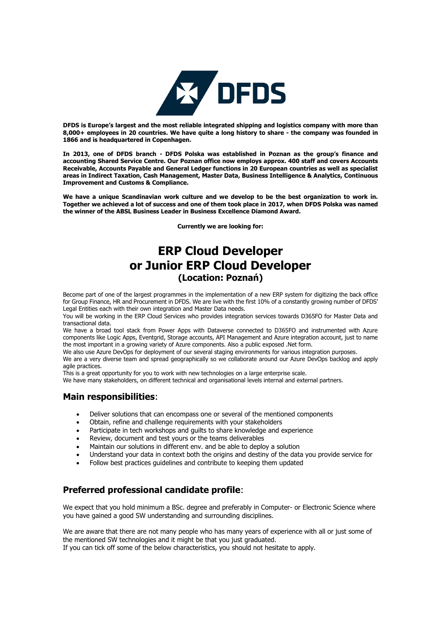

**DFDS is Europe's largest and the most reliable integrated shipping and logistics company with more than 8,000+ employees in 20 countries. We have quite a long history to share - the company was founded in 1866 and is headquartered in Copenhagen.**

**In 2013, one of DFDS branch - DFDS Polska was established in Poznan as the group's finance and accounting Shared Service Centre. Our Poznan office now employs approx. 400 staff and covers Accounts Receivable, Accounts Payable and General Ledger functions in 20 European countries as well as specialist areas in Indirect Taxation, Cash Management, Master Data, Business Intelligence & Analytics, Continuous Improvement and Customs & Compliance.** 

**We have a unique Scandinavian work culture and we develop to be the best organization to work in. Together we achieved a lot of success and one of them took place in 2017, when DFDS Polska was named the winner of the ABSL Business Leader in Business Excellence Diamond Award.**

**Currently we are looking for:**

# **ERP Cloud Developer or Junior ERP Cloud Developer (Location: Poznań)**

Become part of one of the largest programmes in the implementation of a new ERP system for digitizing the back office for Group Finance, HR and Procurement in DFDS. We are live with the first 10% of a constantly growing number of DFDS' Legal Entities each with their own integration and Master Data needs.

You will be working in the ERP Cloud Services who provides integration services towards D365FO for Master Data and transactional data.

We have a broad tool stack from Power Apps with Dataverse connected to D365FO and instrumented with Azure components like Logic Apps, Eventgrid, Storage accounts, API Management and Azure integration account, just to name the most important in a growing variety of Azure components. Also a public exposed .Net form.

We also use Azure DevOps for deployment of our several staging environments for various integration purposes.

We are a very diverse team and spread geographically so we collaborate around our Azure DevOps backlog and apply agile practices.

This is a great opportunity for you to work with new technologies on a large enterprise scale.

We have many stakeholders, on different technical and organisational levels internal and external partners.

### **Main responsibilities**:

- Deliver solutions that can encompass one or several of the mentioned components
- Obtain, refine and challenge requirements with your stakeholders
- Participate in tech workshops and guilts to share knowledge and experience
- Review, document and test yours or the teams deliverables
- Maintain our solutions in different env. and be able to deploy a solution
- Understand your data in context both the origins and destiny of the data you provide service for
- Follow best practices guidelines and contribute to keeping them updated

# **Preferred professional candidate profile**:

We expect that you hold minimum a BSc. degree and preferably in Computer- or Electronic Science where you have gained a good SW understanding and surrounding disciplines.

We are aware that there are not many people who has many years of experience with all or just some of the mentioned SW technologies and it might be that you just graduated. If you can tick off some of the below characteristics, you should not hesitate to apply.